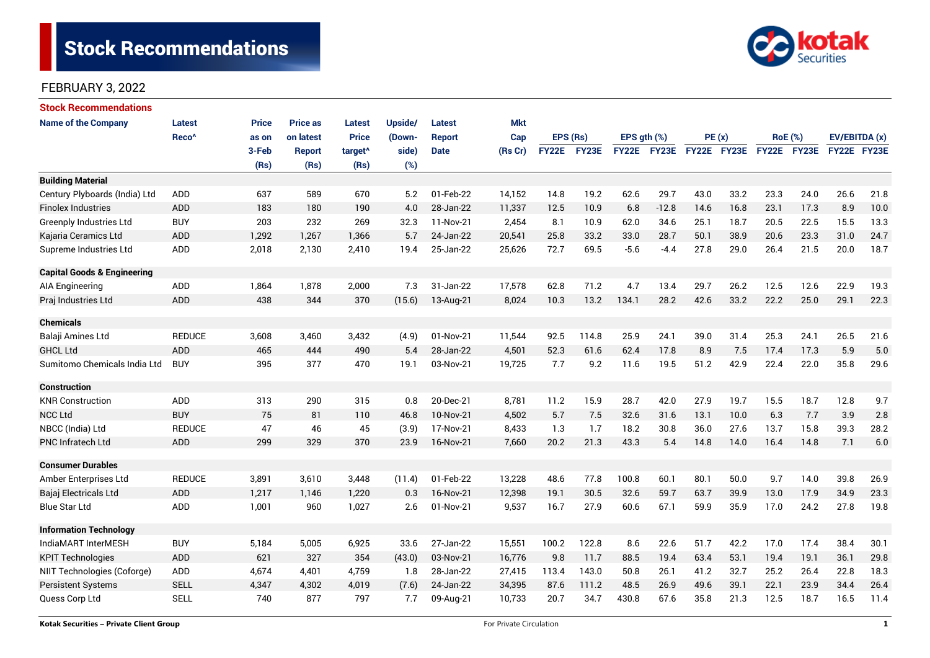

| <b>Stock Recommendations</b>           |                   |              |                 |                     |         |               |            |              |       |             |                                              |             |      |                |      |               |      |
|----------------------------------------|-------------------|--------------|-----------------|---------------------|---------|---------------|------------|--------------|-------|-------------|----------------------------------------------|-------------|------|----------------|------|---------------|------|
| <b>Name of the Company</b>             | <b>Latest</b>     | <b>Price</b> | <b>Price as</b> | Latest              | Upside/ | <b>Latest</b> | <b>Mkt</b> |              |       |             |                                              |             |      |                |      |               |      |
|                                        | Reco <sup>^</sup> | as on        | on latest       | <b>Price</b>        | (Down-  | Report        | Cap        | EPS (Rs)     |       | EPS gth (%) |                                              | PE(x)       |      | <b>RoE</b> (%) |      | EV/EBITDA (x) |      |
|                                        |                   | 3-Feb        | <b>Report</b>   | target <sup>^</sup> | side)   | <b>Date</b>   | (Rs Cr)    | <b>FY22E</b> | FY23E |             | FY22E FY23E                                  | FY22E FY23E |      | FY22E FY23E    |      | FY22E FY23E   |      |
|                                        |                   | (Rs)         | (Rs)            | (Rs)                | (%)     |               |            |              |       |             |                                              |             |      |                |      |               |      |
| <b>Building Material</b>               |                   |              |                 |                     |         |               |            |              |       |             |                                              |             |      |                |      |               |      |
| Century Plyboards (India) Ltd          | <b>ADD</b>        | 637          | 589             | 670                 | 5.2     | 01-Feb-22     | 14,152     | 14.8         | 19.2  | 62.6        | 29.7                                         | 43.0        | 33.2 | 23.3           | 24.0 | 26.6          | 21.8 |
| <b>Finolex Industries</b>              | <b>ADD</b>        | 183          | 180             | 190                 | 4.0     | 28-Jan-22     | 11,337     | 12.5         | 10.9  | 6.8         | $-12.8$                                      | 14.6        | 16.8 | 23.1           | 17.3 | 8.9           | 10.0 |
| Greenply Industries Ltd                | <b>BUY</b>        | 203          | 232             | 269                 | 32.3    | 11-Nov-21     | 2,454      | 8.1          | 10.9  | 62.0        | 34.6                                         | 25.1        | 18.7 | 20.5           | 22.5 | 15.5          | 13.3 |
| Kajaria Ceramics Ltd                   | <b>ADD</b>        | 1,292        | 1,267           | 1,366               | 5.7     | 24-Jan-22     | 20,541     | 25.8         | 33.2  | 33.0        | 28.7                                         | 50.1        | 38.9 | 20.6           | 23.3 | 31.0          | 24.7 |
| Supreme Industries Ltd                 | ADD               | 2,018        | 2,130           | 2,410               | 19.4    | 25-Jan-22     | 25,626     | 72.7         | 69.5  | $-5.6$      | $-4.4$                                       | 27.8        | 29.0 | 26.4           | 21.5 | 20.0          | 18.7 |
| <b>Capital Goods &amp; Engineering</b> |                   |              |                 |                     |         |               |            |              |       |             |                                              |             |      |                |      |               |      |
| <b>AIA Engineering</b>                 | ADD               | 1,864        | 1,878           | 2,000               | 7.3     | 31-Jan-22     | 17,578     | 62.8         | 71.2  | 4.7         | 13.4                                         | 29.7        | 26.2 | 12.5           | 12.6 | 22.9          | 19.3 |
| Praj Industries Ltd                    | <b>ADD</b>        | 438          | 344             | 370                 | (15.6)  | 13-Aug-21     | 8,024      | 10.3         | 13.2  | 134.1       | 28.2                                         | 42.6        | 33.2 | 22.2           | 25.0 | 29.1          | 22.3 |
| <b>Chemicals</b>                       |                   |              |                 |                     |         |               |            |              |       |             |                                              |             |      |                |      |               |      |
| Balaji Amines Ltd                      | <b>REDUCE</b>     | 3,608        | 3,460           | 3,432               | (4.9)   | 01-Nov-21     | 11,544     | 92.5         | 114.8 | 25.9        | 24.1                                         | 39.0        | 31.4 | 25.3           | 24.1 | 26.5          | 21.6 |
| <b>GHCL Ltd</b>                        | ADD               | 465          | 444             | 490                 | 5.4     | 28-Jan-22     | 4,501      | 52.3         | 61.6  | 62.4        | 17.8                                         | 8.9         | 7.5  | 17.4           | 17.3 | 5.9           | 5.0  |
| Sumitomo Chemicals India Ltd           | <b>BUY</b>        | 395          | 377             | 470                 | 19.1    | 03-Nov-21     | 19,725     | 7.7          | 9.2   | 11.6        | 19.5                                         | 51.2        | 42.9 | 22.4           | 22.0 | 35.8          | 29.6 |
| <b>Construction</b>                    |                   |              |                 |                     |         |               |            |              |       |             |                                              |             |      |                |      |               |      |
| <b>KNR Construction</b>                | ADD               | 313          | 290             | 315                 | 0.8     | 20-Dec-21     | 8,781      | 11.2         | 15.9  | 28.7        | 42.0                                         | 27.9        | 19.7 | 15.5           | 18.7 | 12.8          | 9.7  |
| <b>NCC Ltd</b>                         | <b>BUY</b>        | 75           | 81              | 110                 | 46.8    | 10-Nov-21     | 4,502      | 5.7          | 7.5   | 32.6        | 31.6                                         | 13.1        | 10.0 | 6.3            | 7.7  | 3.9           | 2.8  |
| NBCC (India) Ltd                       | <b>REDUCE</b>     | 47           | 46              | 45                  | (3.9)   | 17-Nov-21     | 8,433      | 1.3          | 1.7   | 18.2        | 30.8                                         | 36.0        | 27.6 | 13.7           | 15.8 | 39.3          | 28.2 |
| <b>PNC Infratech Ltd</b>               | ADD               | 299          | 329             | 370                 | 23.9    | 16-Nov-21     | 7,660      | 20.2         | 21.3  | 43.3        | 5.4                                          | 14.8        | 14.0 | 16.4           | 14.8 | 7.1           | 6.0  |
| <b>Consumer Durables</b>               |                   |              |                 |                     |         |               |            |              |       |             |                                              |             |      |                |      |               |      |
| Amber Enterprises Ltd                  | <b>REDUCE</b>     | 3,891        | 3,610           | 3,448               | (11.4)  | 01-Feb-22     | 13,228     | 48.6         | 77.8  | 100.8       | 60.1                                         | 80.1        | 50.0 | 9.7            | 14.0 | 39.8          | 26.9 |
| Bajaj Electricals Ltd                  | <b>ADD</b>        | 1,217        | 1,146           | 1,220               | 0.3     | 16-Nov-21     | 12,398     | 19.1         | 30.5  | 32.6        | 59.7                                         | 63.7        | 39.9 | 13.0           | 17.9 | 34.9          | 23.3 |
| <b>Blue Star Ltd</b>                   | ADD               | 1,001        | 960             | 1,027               | 2.6     | 01-Nov-21     | 9,537      | 16.7         | 27.9  | 60.6        | 67.1                                         | 59.9        | 35.9 | 17.0           | 24.2 | 27.8          | 19.8 |
| <b>Information Technology</b>          |                   |              |                 |                     |         |               |            |              |       |             |                                              |             |      |                |      |               |      |
| IndiaMART InterMESH                    | <b>BUY</b>        | 5,184        | 5,005           | 6,925               | 33.6    | 27-Jan-22     | 15,551     | 100.2        | 122.8 | 8.6         | 22.6                                         | 51.7        | 42.2 | 17.0           | 17.4 | 38.4          | 30.1 |
| <b>KPIT Technologies</b>               | ADD               | 621          | 327             | 354                 | (43.0)  | 03-Nov-21     | 16,776     | 9.8          | 11.7  | 88.5        | 19.4                                         | 63.4        | 53.1 | 19.4           | 19.1 | 36.1          | 29.8 |
| NIIT Technologies (Coforge)            | ADD               | 4.674        | 4,401           | 4,759               | 1.8     | 28-Jan-22     | 27,415     | 113.4        | 143.0 | 50.8        | 32.7<br>25.2<br>26.4<br>26.1<br>41.2<br>22.8 |             | 18.3 |                |      |               |      |
| <b>Persistent Systems</b>              | <b>SELL</b>       | 4,347        | 4,302           | 4,019               | (7.6)   | 24-Jan-22     | 34,395     | 87.6         | 111.2 | 48.5        | 26.9                                         | 49.6        | 39.1 | 22.1           | 23.9 | 34.4          | 26.4 |
| Quess Corp Ltd                         | <b>SELL</b>       | 740          | 877             | 797                 | 7.7     | 09-Aug-21     | 10,733     | 20.7         | 34.7  | 430.8       | 67.6                                         | 35.8        | 21.3 | 12.5           | 18.7 | 16.5          | 11.4 |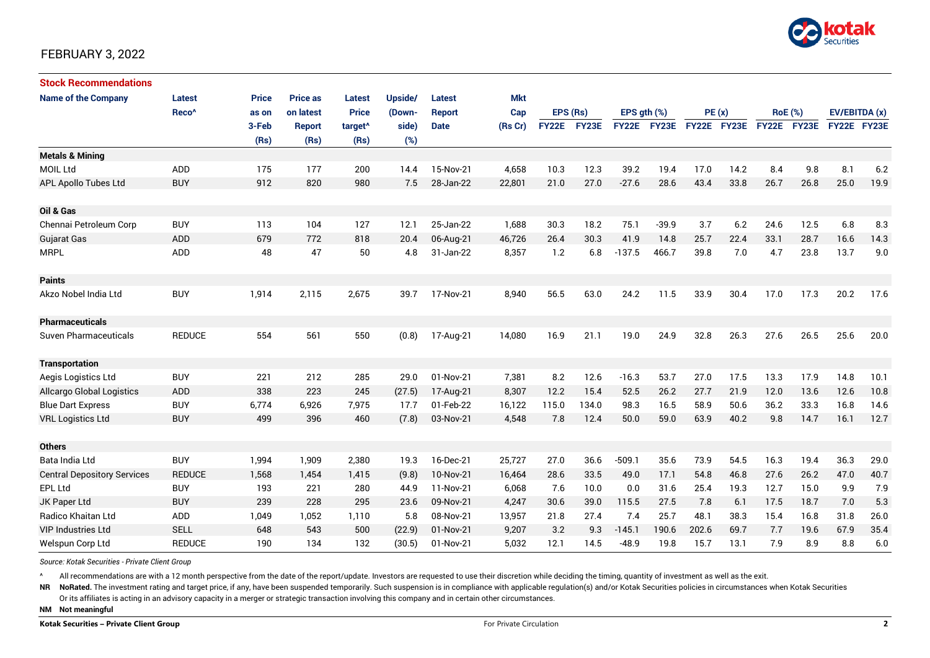

| <b>Stock Recommendations</b>       |                   |              |                 |                     |         |               |            |              |       |                  |             |             |      |                |             |               |      |
|------------------------------------|-------------------|--------------|-----------------|---------------------|---------|---------------|------------|--------------|-------|------------------|-------------|-------------|------|----------------|-------------|---------------|------|
| <b>Name of the Company</b>         | Latest            | <b>Price</b> | <b>Price as</b> | <b>Latest</b>       | Upside/ | <b>Latest</b> | <b>Mkt</b> |              |       |                  |             |             |      |                |             |               |      |
|                                    | Reco <sup>^</sup> | as on        | on latest       | <b>Price</b>        | (Down-  | <b>Report</b> | Cap        | EPS (Rs)     |       | EPS $gth$ $(\%)$ |             | PE(x)       |      | <b>RoE</b> (%) |             | EV/EBITDA (x) |      |
|                                    |                   | 3-Feb        | <b>Report</b>   | target <sup>^</sup> | side)   | <b>Date</b>   | (Rs Cr)    | <b>FY22E</b> | FY23E |                  | FY22E FY23E | FY22E FY23E |      |                | FY22E FY23E | FY22E FY23E   |      |
|                                    |                   | (Rs)         | (Rs)            | (Rs)                | (%)     |               |            |              |       |                  |             |             |      |                |             |               |      |
| <b>Metals &amp; Mining</b>         |                   |              |                 |                     |         |               |            |              |       |                  |             |             |      |                |             |               |      |
| <b>MOIL Ltd</b>                    | ADD               | 175          | 177             | 200                 | 14.4    | 15-Nov-21     | 4,658      | 10.3         | 12.3  | 39.2             | 19.4        | 17.0        | 14.2 | 8.4            | 9.8         | 8.1           | 6.2  |
| <b>APL Apollo Tubes Ltd</b>        | <b>BUY</b>        | 912          | 820             | 980                 | 7.5     | 28-Jan-22     | 22,801     | 21.0         | 27.0  | $-27.6$          | 28.6        | 43.4        | 33.8 | 26.7           | 26.8        | 25.0          | 19.9 |
|                                    |                   |              |                 |                     |         |               |            |              |       |                  |             |             |      |                |             |               |      |
| Oil & Gas                          |                   |              |                 |                     |         |               |            |              |       |                  |             |             |      |                |             |               |      |
| Chennai Petroleum Corp             | <b>BUY</b>        | 113          | 104             | 127                 | 12.1    | 25-Jan-22     | 1,688      | 30.3         | 18.2  | 75.1             | $-39.9$     | 3.7         | 6.2  | 24.6           | 12.5        | 6.8           | 8.3  |
| <b>Gujarat Gas</b>                 | <b>ADD</b>        | 679          | 772             | 818                 | 20.4    | 06-Aug-21     | 46,726     | 26.4         | 30.3  | 41.9             | 14.8        | 25.7        | 22.4 | 33.1           | 28.7        | 16.6          | 14.3 |
| <b>MRPL</b>                        | ADD               | 48           | 47              | 50                  | 4.8     | 31-Jan-22     | 8,357      | 1.2          | 6.8   | $-137.5$         | 466.7       | 39.8        | 7.0  | 4.7            | 23.8        | 13.7          | 9.0  |
|                                    |                   |              |                 |                     |         |               |            |              |       |                  |             |             |      |                |             |               |      |
| <b>Paints</b>                      |                   |              |                 |                     |         |               |            |              |       |                  |             |             |      |                |             |               |      |
| Akzo Nobel India Ltd               | <b>BUY</b>        | 1,914        | 2,115           | 2,675               | 39.7    | 17-Nov-21     | 8,940      | 56.5         | 63.0  | 24.2             | 11.5        | 33.9        | 30.4 | 17.0           | 17.3        | 20.2          | 17.6 |
|                                    |                   |              |                 |                     |         |               |            |              |       |                  |             |             |      |                |             |               |      |
| <b>Pharmaceuticals</b>             |                   |              |                 |                     |         |               |            |              |       |                  |             |             |      |                |             |               |      |
| Suven Pharmaceuticals              | <b>REDUCE</b>     | 554          | 561             | 550                 | (0.8)   | 17-Aug-21     | 14,080     | 16.9         | 21.1  | 19.0             | 24.9        | 32.8        | 26.3 | 27.6           | 26.5        | 25.6          | 20.0 |
|                                    |                   |              |                 |                     |         |               |            |              |       |                  |             |             |      |                |             |               |      |
| <b>Transportation</b>              |                   |              |                 |                     |         |               |            |              |       |                  |             |             |      |                |             |               |      |
| Aegis Logistics Ltd                | <b>BUY</b>        | 221          | 212             | 285                 | 29.0    | 01-Nov-21     | 7,381      | 8.2          | 12.6  | $-16.3$          | 53.7        | 27.0        | 17.5 | 13.3           | 17.9        | 14.8          | 10.1 |
| <b>Allcargo Global Logistics</b>   | <b>ADD</b>        | 338          | 223             | 245                 | (27.5)  | 17-Aug-21     | 8,307      | 12.2         | 15.4  | 52.5             | 26.2        | 27.7        | 21.9 | 12.0           | 13.6        | 12.6          | 10.8 |
| <b>Blue Dart Express</b>           | <b>BUY</b>        | 6,774        | 6,926           | 7,975               | 17.7    | 01-Feb-22     | 16,122     | 115.0        | 134.0 | 98.3             | 16.5        | 58.9        | 50.6 | 36.2           | 33.3        | 16.8          | 14.6 |
| <b>VRL Logistics Ltd</b>           | <b>BUY</b>        | 499          | 396             | 460                 | (7.8)   | 03-Nov-21     | 4,548      | 7.8          | 12.4  | 50.0             | 59.0        | 63.9        | 40.2 | 9.8            | 14.7        | 16.1          | 12.7 |
|                                    |                   |              |                 |                     |         |               |            |              |       |                  |             |             |      |                |             |               |      |
| <b>Others</b>                      |                   |              |                 |                     |         |               |            |              |       |                  |             |             |      |                |             |               |      |
| Bata India Ltd                     | <b>BUY</b>        | 1,994        | 1,909           | 2,380               | 19.3    | 16-Dec-21     | 25,727     | 27.0         | 36.6  | $-509.1$         | 35.6        | 73.9        | 54.5 | 16.3           | 19.4        | 36.3          | 29.0 |
| <b>Central Depository Services</b> | <b>REDUCE</b>     | 1,568        | 1,454           | 1,415               | (9.8)   | 10-Nov-21     | 16,464     | 28.6         | 33.5  | 49.0             | 17.1        | 54.8        | 46.8 | 27.6           | 26.2        | 47.0          | 40.7 |
| <b>EPL Ltd</b>                     | <b>BUY</b>        | 193          | 221             | 280                 | 44.9    | 11-Nov-21     | 6,068      | 7.6          | 10.0  | 0.0              | 31.6        | 25.4        | 19.3 | 12.7           | 15.0        | 9.9           | 7.9  |
| JK Paper Ltd                       | <b>BUY</b>        | 239          | 228             | 295                 | 23.6    | 09-Nov-21     | 4,247      | 30.6         | 39.0  | 115.5            | 27.5        | 7.8         | 6.1  | 17.5           | 18.7        | 7.0           | 5.3  |
| Radico Khaitan Ltd                 | ADD               | 1,049        | 1,052           | 1,110               | 5.8     | 08-Nov-21     | 13,957     | 21.8         | 27.4  | 7.4              | 25.7        | 48.1        | 38.3 | 15.4           | 16.8        | 31.8          | 26.0 |
| <b>VIP Industries Ltd</b>          | <b>SELL</b>       | 648          | 543             | 500                 | (22.9)  | 01-Nov-21     | 9,207      | 3.2          | 9.3   | $-145.1$         | 190.6       | 202.6       | 69.7 | 7.7            | 19.6        | 67.9          | 35.4 |
| Welspun Corp Ltd                   | <b>REDUCE</b>     | 190          | 134             | 132                 | (30.5)  | 01-Nov-21     | 5,032      | 12.1         | 14.5  | $-48.9$          | 19.8        | 15.7        | 13.1 | 7.9            | 8.9         | 8.8           | 6.0  |

*Source: Kotak Securities - Private Client Group*

All recommendations are with a 12 month perspective from the date of the report/update. Investors are requested to use their discretion while deciding the timing, quantity of investment as well as the exit.

NR NoRated. The investment rating and target price, if any, have been suspended temporarily. Such suspension is in compliance with applicable regulation(s) and/or Kotak Securities policies in circumstances when Kotak Secur

Or its affiliates is acting in an advisory capacity in a merger or strategic transaction involving this company and in certain other circumstances.

**NM Not meaningful**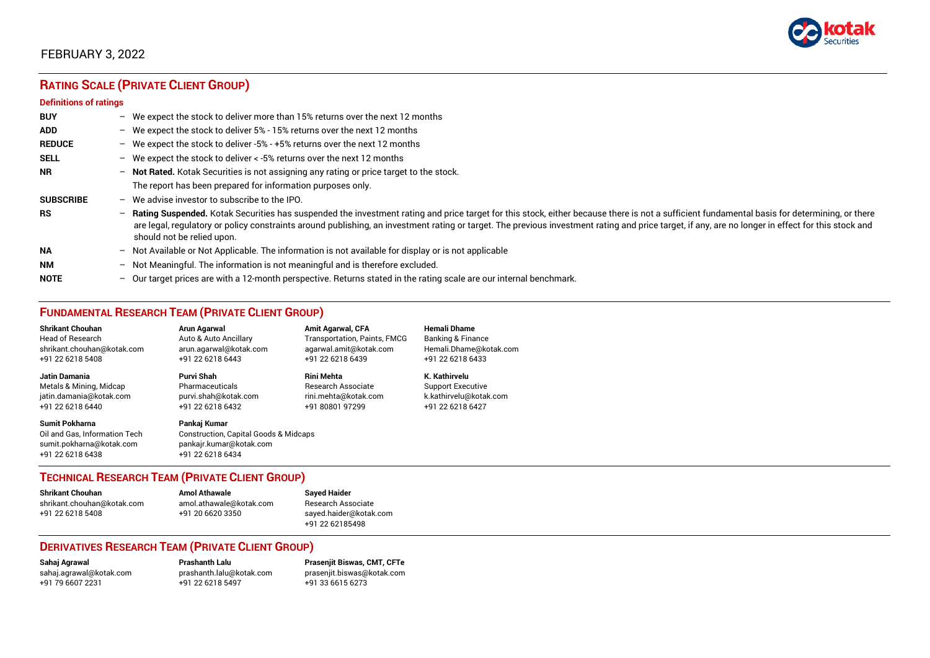

# **RATING SCALE (PRIVATE CLIENT GROUP)**

#### **Definitions of ratings**

| <b>BUY</b>       |                          | - We expect the stock to deliver more than 15% returns over the next 12 months                                                                                                                                                                                                                                                                                                                                                   |
|------------------|--------------------------|----------------------------------------------------------------------------------------------------------------------------------------------------------------------------------------------------------------------------------------------------------------------------------------------------------------------------------------------------------------------------------------------------------------------------------|
| <b>ADD</b>       |                          | - We expect the stock to deliver 5% - 15% returns over the next 12 months                                                                                                                                                                                                                                                                                                                                                        |
| <b>REDUCE</b>    |                          | - We expect the stock to deliver -5% - +5% returns over the next 12 months                                                                                                                                                                                                                                                                                                                                                       |
| <b>SELL</b>      |                          | - We expect the stock to deliver $\lt$ -5% returns over the next 12 months                                                                                                                                                                                                                                                                                                                                                       |
| <b>NR</b>        |                          | - Not Rated. Kotak Securities is not assigning any rating or price target to the stock.                                                                                                                                                                                                                                                                                                                                          |
|                  |                          | The report has been prepared for information purposes only.                                                                                                                                                                                                                                                                                                                                                                      |
| <b>SUBSCRIBE</b> | $-$                      | We advise investor to subscribe to the IPO.                                                                                                                                                                                                                                                                                                                                                                                      |
| <b>RS</b>        | $\overline{\phantom{0}}$ | Rating Suspended. Kotak Securities has suspended the investment rating and price target for this stock, either because there is not a sufficient fundamental basis for determining, or there<br>are legal, regulatory or policy constraints around publishing, an investment rating or target. The previous investment rating and price target, if any, are no longer in effect for this stock and<br>should not be relied upon. |
| <b>NA</b>        |                          | - Not Available or Not Applicable. The information is not available for display or is not applicable                                                                                                                                                                                                                                                                                                                             |
| <b>NM</b>        | $-$                      | Not Meaningful. The information is not meaningful and is therefore excluded.                                                                                                                                                                                                                                                                                                                                                     |
| <b>NOTE</b>      |                          | - Our target prices are with a 12-month perspective. Returns stated in the rating scale are our internal benchmark.                                                                                                                                                                                                                                                                                                              |

## **FUNDAMENTAL RESEARCH TEAM (PRIVATE CLIENT GROUP)**

| <b>Shrikant Chouhan</b>                                                                                | <b>Arun Agarwal</b>                                                                                             | <b>Amit Agarwal, CFA</b>            | <b>Hemali Dhame</b>      |
|--------------------------------------------------------------------------------------------------------|-----------------------------------------------------------------------------------------------------------------|-------------------------------------|--------------------------|
| <b>Head of Research</b>                                                                                | Auto & Auto Ancillary                                                                                           | <b>Transportation, Paints, FMCG</b> | Banking & Finance        |
| shrikant.chouhan@kotak.com                                                                             | arun.agarwal@kotak.com                                                                                          | agarwal.amit@kotak.com              | Hemali.Dhame@kotak.com   |
| +91 22 6218 5408                                                                                       | +91 22 6218 6443                                                                                                | +91 22 6218 6439                    | +91 22 6218 6433         |
| <b>Jatin Damania</b>                                                                                   | Purvi Shah                                                                                                      | <b>Rini Mehta</b>                   | K. Kathirvelu            |
| Metals & Mining, Midcap                                                                                | Pharmaceuticals                                                                                                 | <b>Research Associate</b>           | <b>Support Executive</b> |
| jatin.damania@kotak.com                                                                                | purvi.shah@kotak.com                                                                                            | rini.mehta@kotak.com                | k.kathirvelu@kotak.com   |
| +91 22 6218 6440                                                                                       | +91 22 6218 6432                                                                                                | +91 80801 97299                     | +91 22 6218 6427         |
| <b>Sumit Pokharna</b><br>Oil and Gas. Information Tech<br>sumit.pokharna@kotak.com<br>+91 22 6218 6438 | Pankaj Kumar<br><b>Construction, Capital Goods &amp; Midcaps</b><br>pankajr.kumar@kotak.com<br>+91 22 6218 6434 |                                     |                          |

### **TECHNICAL RESEARCH TEAM (PRIVATE CLIENT GROUP)**

| <b>Shrikant Chouhan</b>    | <b>Amol Athawale</b>    |   |
|----------------------------|-------------------------|---|
| shrikant.chouhan@kotak.com | amol.athawale@kotak.com |   |
| +91 22 6218 5408           | +91 20 6620 3350        | S |
|                            |                         |   |

#### **Sayed Haider** Research Associate [sayed.haider@kotak.com](mailto:sayed.haider@kotak.com) +91 22 62185498

### **DERIVATIVES RESEARCH TEAM (PRIVATE CLIENT GROUP)**

+91 22 6218 5497 +91 33 6615 6273

**Sahaj Agrawal Prashanth Lalu Prasenjit Biswas, CMT, CFTe** [sahaj.agrawal@kotak.com](mailto:sahaj.agrawal@kotak.com) [prashanth.lalu@kotak.com](mailto:prashanth.lalu@kotak.com) [prasenjit.biswas@kotak.com](mailto:prasenjit.biswas@kotak.com)